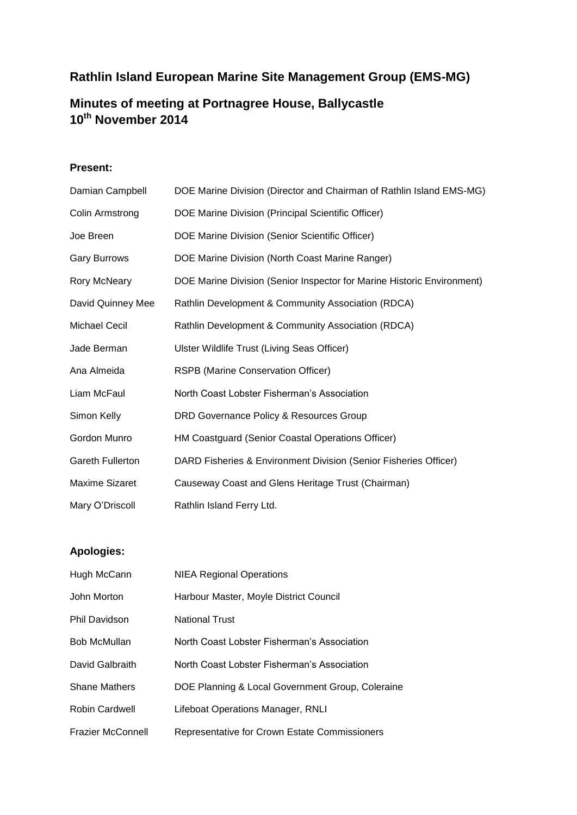# **Rathlin Island European Marine Site Management Group (EMS-MG)**

# **Minutes of meeting at Portnagree House, Ballycastle 10th November 2014**

# **Present:**

| Damian Campbell         | DOE Marine Division (Director and Chairman of Rathlin Island EMS-MG)   |
|-------------------------|------------------------------------------------------------------------|
| Colin Armstrong         | DOE Marine Division (Principal Scientific Officer)                     |
| Joe Breen               | DOE Marine Division (Senior Scientific Officer)                        |
| <b>Gary Burrows</b>     | DOE Marine Division (North Coast Marine Ranger)                        |
| <b>Rory McNeary</b>     | DOE Marine Division (Senior Inspector for Marine Historic Environment) |
| David Quinney Mee       | Rathlin Development & Community Association (RDCA)                     |
| <b>Michael Cecil</b>    | Rathlin Development & Community Association (RDCA)                     |
| Jade Berman             | Ulster Wildlife Trust (Living Seas Officer)                            |
| Ana Almeida             | RSPB (Marine Conservation Officer)                                     |
| Liam McFaul             | North Coast Lobster Fisherman's Association                            |
| Simon Kelly             | DRD Governance Policy & Resources Group                                |
| Gordon Munro            | HM Coastguard (Senior Coastal Operations Officer)                      |
| <b>Gareth Fullerton</b> | DARD Fisheries & Environment Division (Senior Fisheries Officer)       |
| <b>Maxime Sizaret</b>   | Causeway Coast and Glens Heritage Trust (Chairman)                     |
| Mary O'Driscoll         | Rathlin Island Ferry Ltd.                                              |

# **Apologies:**

| Hugh McCann              | <b>NIEA Regional Operations</b>                  |
|--------------------------|--------------------------------------------------|
| John Morton              | Harbour Master, Moyle District Council           |
| <b>Phil Davidson</b>     | <b>National Trust</b>                            |
| <b>Bob McMullan</b>      | North Coast Lobster Fisherman's Association      |
| David Galbraith          | North Coast Lobster Fisherman's Association      |
| <b>Shane Mathers</b>     | DOE Planning & Local Government Group, Coleraine |
| Robin Cardwell           | Lifeboat Operations Manager, RNLI                |
| <b>Frazier McConnell</b> | Representative for Crown Estate Commissioners    |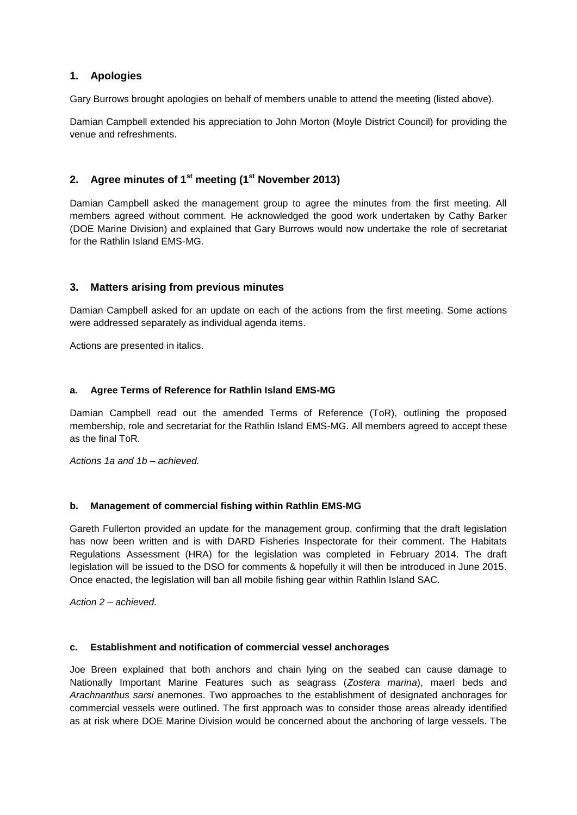# **1. Apologies**

Gary Burrows brought apologies on behalf of members unable to attend the meeting (listed above).

Damian Campbell extended his appreciation to John Morton (Moyle District Council) for providing the venue and refreshments.

# **2. Agree minutes of 1st meeting (1st November 2013)**

Damian Campbell asked the management group to agree the minutes from the first meeting. All members agreed without comment. He acknowledged the good work undertaken by Cathy Barker (DOE Marine Division) and explained that Gary Burrows would now undertake the role of secretariat for the Rathlin Island EMS-MG.

# **3. Matters arising from previous minutes**

Damian Campbell asked for an update on each of the actions from the first meeting. Some actions were addressed separately as individual agenda items.

Actions are presented in italics.

# **a. Agree Terms of Reference for Rathlin Island EMS-MG**

Damian Campbell read out the amended Terms of Reference (ToR), outlining the proposed membership, role and secretariat for the Rathlin Island EMS-MG. All members agreed to accept these as the final ToR.

*Actions 1a and 1b – achieved.*

# **b. Management of commercial fishing within Rathlin EMS-MG**

Gareth Fullerton provided an update for the management group, confirming that the draft legislation has now been written and is with DARD Fisheries Inspectorate for their comment. The Habitats Regulations Assessment (HRA) for the legislation was completed in February 2014. The draft legislation will be issued to the DSO for comments & hopefully it will then be introduced in June 2015. Once enacted, the legislation will ban all mobile fishing gear within Rathlin Island SAC.

*Action 2 – achieved.*

# **c. Establishment and notification of commercial vessel anchorages**

Joe Breen explained that both anchors and chain lying on the seabed can cause damage to Nationally Important Marine Features such as seagrass (*Zostera marina*), maerl beds and *Arachnanthus sarsi* anemones. Two approaches to the establishment of designated anchorages for commercial vessels were outlined. The first approach was to consider those areas already identified as at risk where DOE Marine Division would be concerned about the anchoring of large vessels. The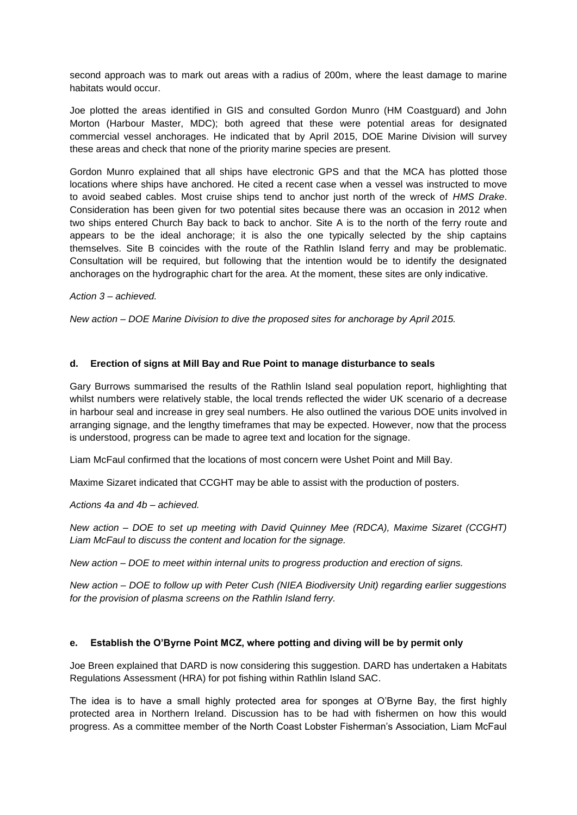second approach was to mark out areas with a radius of 200m, where the least damage to marine habitats would occur.

Joe plotted the areas identified in GIS and consulted Gordon Munro (HM Coastguard) and John Morton (Harbour Master, MDC); both agreed that these were potential areas for designated commercial vessel anchorages. He indicated that by April 2015, DOE Marine Division will survey these areas and check that none of the priority marine species are present.

Gordon Munro explained that all ships have electronic GPS and that the MCA has plotted those locations where ships have anchored. He cited a recent case when a vessel was instructed to move to avoid seabed cables. Most cruise ships tend to anchor just north of the wreck of *HMS Drake*. Consideration has been given for two potential sites because there was an occasion in 2012 when two ships entered Church Bay back to back to anchor. Site A is to the north of the ferry route and appears to be the ideal anchorage; it is also the one typically selected by the ship captains themselves. Site B coincides with the route of the Rathlin Island ferry and may be problematic. Consultation will be required, but following that the intention would be to identify the designated anchorages on the hydrographic chart for the area. At the moment, these sites are only indicative.

*Action 3 – achieved.*

*New action – DOE Marine Division to dive the proposed sites for anchorage by April 2015.*

# **d. Erection of signs at Mill Bay and Rue Point to manage disturbance to seals**

Gary Burrows summarised the results of the Rathlin Island seal population report, highlighting that whilst numbers were relatively stable, the local trends reflected the wider UK scenario of a decrease in harbour seal and increase in grey seal numbers. He also outlined the various DOE units involved in arranging signage, and the lengthy timeframes that may be expected. However, now that the process is understood, progress can be made to agree text and location for the signage.

Liam McFaul confirmed that the locations of most concern were Ushet Point and Mill Bay.

Maxime Sizaret indicated that CCGHT may be able to assist with the production of posters.

*Actions 4a and 4b – achieved.*

*New action – DOE to set up meeting with David Quinney Mee (RDCA), Maxime Sizaret (CCGHT) Liam McFaul to discuss the content and location for the signage.*

*New action – DOE to meet within internal units to progress production and erection of signs.*

*New action – DOE to follow up with Peter Cush (NIEA Biodiversity Unit) regarding earlier suggestions for the provision of plasma screens on the Rathlin Island ferry.*

#### **e. Establish the O'Byrne Point MCZ, where potting and diving will be by permit only**

Joe Breen explained that DARD is now considering this suggestion. DARD has undertaken a Habitats Regulations Assessment (HRA) for pot fishing within Rathlin Island SAC.

The idea is to have a small highly protected area for sponges at O'Byrne Bay, the first highly protected area in Northern Ireland. Discussion has to be had with fishermen on how this would progress. As a committee member of the North Coast Lobster Fisherman's Association, Liam McFaul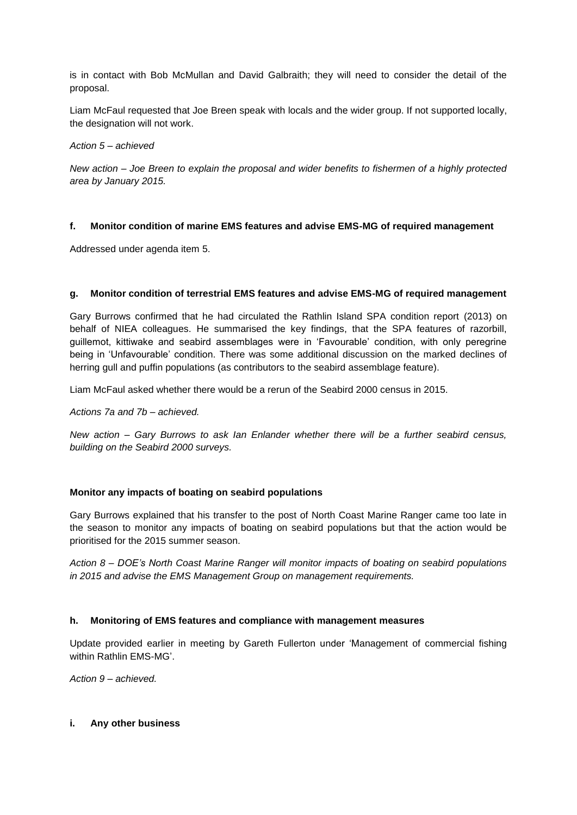is in contact with Bob McMullan and David Galbraith; they will need to consider the detail of the proposal.

Liam McFaul requested that Joe Breen speak with locals and the wider group. If not supported locally, the designation will not work.

*Action 5 – achieved*

*New action – Joe Breen to explain the proposal and wider benefits to fishermen of a highly protected area by January 2015.*

# **f. Monitor condition of marine EMS features and advise EMS-MG of required management**

Addressed under agenda item 5.

### **g. Monitor condition of terrestrial EMS features and advise EMS-MG of required management**

Gary Burrows confirmed that he had circulated the Rathlin Island SPA condition report (2013) on behalf of NIEA colleagues. He summarised the key findings, that the SPA features of razorbill, guillemot, kittiwake and seabird assemblages were in 'Favourable' condition, with only peregrine being in 'Unfavourable' condition. There was some additional discussion on the marked declines of herring gull and puffin populations (as contributors to the seabird assemblage feature).

Liam McFaul asked whether there would be a rerun of the Seabird 2000 census in 2015.

#### *Actions 7a and 7b – achieved.*

*New action – Gary Burrows to ask Ian Enlander whether there will be a further seabird census, building on the Seabird 2000 surveys.*

#### **Monitor any impacts of boating on seabird populations**

Gary Burrows explained that his transfer to the post of North Coast Marine Ranger came too late in the season to monitor any impacts of boating on seabird populations but that the action would be prioritised for the 2015 summer season.

*Action 8 – DOE's North Coast Marine Ranger will monitor impacts of boating on seabird populations in 2015 and advise the EMS Management Group on management requirements.*

# **h. Monitoring of EMS features and compliance with management measures**

Update provided earlier in meeting by Gareth Fullerton under 'Management of commercial fishing within Rathlin EMS-MG'.

*Action 9 – achieved.*

#### **i. Any other business**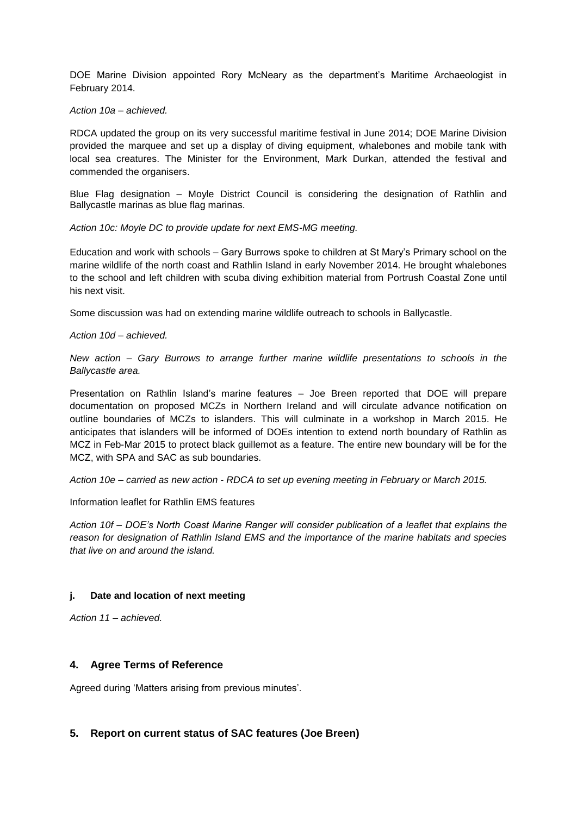DOE Marine Division appointed Rory McNeary as the department's Maritime Archaeologist in February 2014.

*Action 10a – achieved.*

RDCA updated the group on its very successful maritime festival in June 2014; DOE Marine Division provided the marquee and set up a display of diving equipment, whalebones and mobile tank with local sea creatures. The Minister for the Environment, Mark Durkan, attended the festival and commended the organisers.

Blue Flag designation – Moyle District Council is considering the designation of Rathlin and Ballycastle marinas as blue flag marinas.

*Action 10c: Moyle DC to provide update for next EMS-MG meeting.*

Education and work with schools – Gary Burrows spoke to children at St Mary's Primary school on the marine wildlife of the north coast and Rathlin Island in early November 2014. He brought whalebones to the school and left children with scuba diving exhibition material from Portrush Coastal Zone until his next visit.

Some discussion was had on extending marine wildlife outreach to schools in Ballycastle.

*Action 10d – achieved.*

*New action – Gary Burrows to arrange further marine wildlife presentations to schools in the Ballycastle area.*

Presentation on Rathlin Island's marine features – Joe Breen reported that DOE will prepare documentation on proposed MCZs in Northern Ireland and will circulate advance notification on outline boundaries of MCZs to islanders. This will culminate in a workshop in March 2015. He anticipates that islanders will be informed of DOEs intention to extend north boundary of Rathlin as MCZ in Feb-Mar 2015 to protect black guillemot as a feature. The entire new boundary will be for the MCZ, with SPA and SAC as sub boundaries.

*Action 10e – carried as new action - RDCA to set up evening meeting in February or March 2015.*

Information leaflet for Rathlin EMS features

*Action 10f – DOE's North Coast Marine Ranger will consider publication of a leaflet that explains the reason for designation of Rathlin Island EMS and the importance of the marine habitats and species that live on and around the island.*

# **j. Date and location of next meeting**

*Action 11 – achieved.*

# **4. Agree Terms of Reference**

Agreed during 'Matters arising from previous minutes'.

# **5. Report on current status of SAC features (Joe Breen)**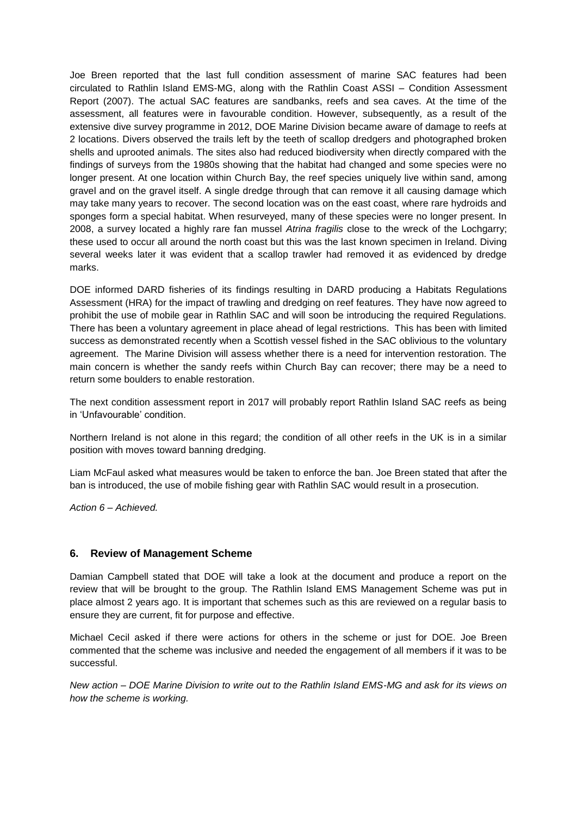Joe Breen reported that the last full condition assessment of marine SAC features had been circulated to Rathlin Island EMS-MG, along with the Rathlin Coast ASSI – Condition Assessment Report (2007). The actual SAC features are sandbanks, reefs and sea caves. At the time of the assessment, all features were in favourable condition. However, subsequently, as a result of the extensive dive survey programme in 2012, DOE Marine Division became aware of damage to reefs at 2 locations. Divers observed the trails left by the teeth of scallop dredgers and photographed broken shells and uprooted animals. The sites also had reduced biodiversity when directly compared with the findings of surveys from the 1980s showing that the habitat had changed and some species were no longer present. At one location within Church Bay, the reef species uniquely live within sand, among gravel and on the gravel itself. A single dredge through that can remove it all causing damage which may take many years to recover. The second location was on the east coast, where rare hydroids and sponges form a special habitat. When resurveyed, many of these species were no longer present. In 2008, a survey located a highly rare fan mussel *Atrina fragilis* close to the wreck of the Lochgarry; these used to occur all around the north coast but this was the last known specimen in Ireland. Diving several weeks later it was evident that a scallop trawler had removed it as evidenced by dredge marks.

DOE informed DARD fisheries of its findings resulting in DARD producing a Habitats Regulations Assessment (HRA) for the impact of trawling and dredging on reef features. They have now agreed to prohibit the use of mobile gear in Rathlin SAC and will soon be introducing the required Regulations. There has been a voluntary agreement in place ahead of legal restrictions. This has been with limited success as demonstrated recently when a Scottish vessel fished in the SAC oblivious to the voluntary agreement. The Marine Division will assess whether there is a need for intervention restoration. The main concern is whether the sandy reefs within Church Bay can recover; there may be a need to return some boulders to enable restoration.

The next condition assessment report in 2017 will probably report Rathlin Island SAC reefs as being in 'Unfavourable' condition.

Northern Ireland is not alone in this regard; the condition of all other reefs in the UK is in a similar position with moves toward banning dredging.

Liam McFaul asked what measures would be taken to enforce the ban. Joe Breen stated that after the ban is introduced, the use of mobile fishing gear with Rathlin SAC would result in a prosecution.

*Action 6 – Achieved.*

# **6. Review of Management Scheme**

Damian Campbell stated that DOE will take a look at the document and produce a report on the review that will be brought to the group. The Rathlin Island EMS Management Scheme was put in place almost 2 years ago. It is important that schemes such as this are reviewed on a regular basis to ensure they are current, fit for purpose and effective.

Michael Cecil asked if there were actions for others in the scheme or just for DOE. Joe Breen commented that the scheme was inclusive and needed the engagement of all members if it was to be successful.

*New action – DOE Marine Division to write out to the Rathlin Island EMS-MG and ask for its views on how the scheme is working.*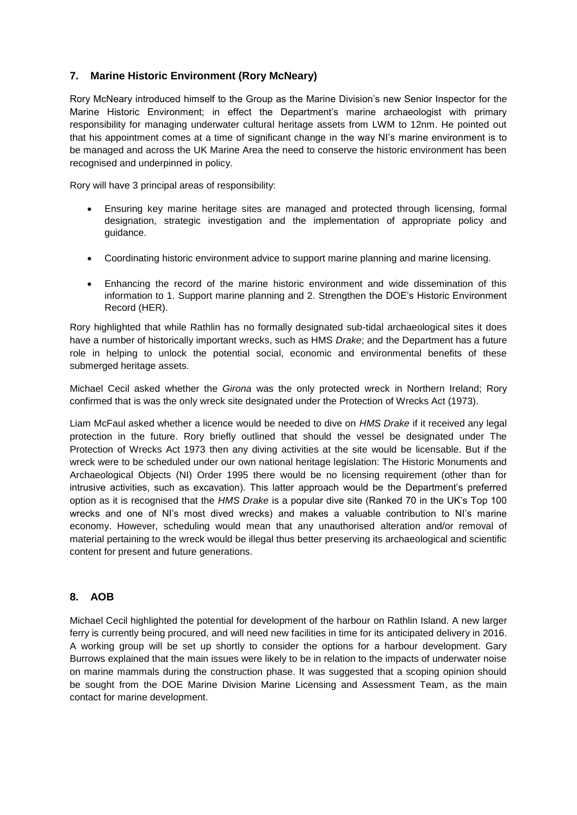# **7. Marine Historic Environment (Rory McNeary)**

Rory McNeary introduced himself to the Group as the Marine Division's new Senior Inspector for the Marine Historic Environment; in effect the Department's marine archaeologist with primary responsibility for managing underwater cultural heritage assets from LWM to 12nm. He pointed out that his appointment comes at a time of significant change in the way NI's marine environment is to be managed and across the UK Marine Area the need to conserve the historic environment has been recognised and underpinned in policy.

Rory will have 3 principal areas of responsibility:

- Ensuring key marine heritage sites are managed and protected through licensing, formal designation, strategic investigation and the implementation of appropriate policy and guidance.
- Coordinating historic environment advice to support marine planning and marine licensing.
- Enhancing the record of the marine historic environment and wide dissemination of this information to 1. Support marine planning and 2. Strengthen the DOE's Historic Environment Record (HER).

Rory highlighted that while Rathlin has no formally designated sub-tidal archaeological sites it does have a number of historically important wrecks, such as HMS *Drake*; and the Department has a future role in helping to unlock the potential social, economic and environmental benefits of these submerged heritage assets.

Michael Cecil asked whether the *Girona* was the only protected wreck in Northern Ireland; Rory confirmed that is was the only wreck site designated under the Protection of Wrecks Act (1973).

Liam McFaul asked whether a licence would be needed to dive on *HMS Drake* if it received any legal protection in the future. Rory briefly outlined that should the vessel be designated under The Protection of Wrecks Act 1973 then any diving activities at the site would be licensable. But if the wreck were to be scheduled under our own national heritage legislation: The Historic Monuments and Archaeological Objects (NI) Order 1995 there would be no licensing requirement (other than for intrusive activities, such as excavation). This latter approach would be the Department's preferred option as it is recognised that the *HMS Drake* is a popular dive site (Ranked 70 in the UK's Top 100 wrecks and one of NI's most dived wrecks) and makes a valuable contribution to NI's marine economy. However, scheduling would mean that any unauthorised alteration and/or removal of material pertaining to the wreck would be illegal thus better preserving its archaeological and scientific content for present and future generations.

# **8. AOB**

Michael Cecil highlighted the potential for development of the harbour on Rathlin Island. A new larger ferry is currently being procured, and will need new facilities in time for its anticipated delivery in 2016. A working group will be set up shortly to consider the options for a harbour development. Gary Burrows explained that the main issues were likely to be in relation to the impacts of underwater noise on marine mammals during the construction phase. It was suggested that a scoping opinion should be sought from the DOE Marine Division Marine Licensing and Assessment Team, as the main contact for marine development.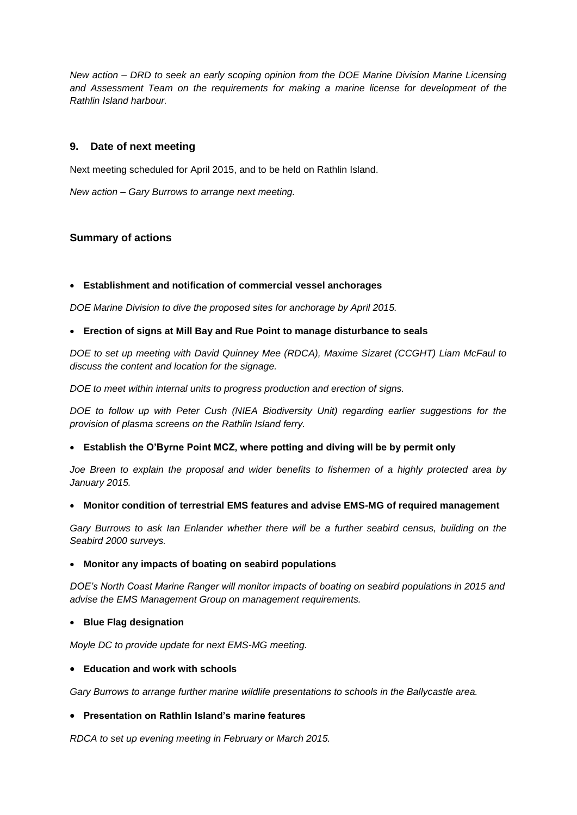*New action – DRD to seek an early scoping opinion from the DOE Marine Division Marine Licensing and Assessment Team on the requirements for making a marine license for development of the Rathlin Island harbour.*

# **9. Date of next meeting**

Next meeting scheduled for April 2015, and to be held on Rathlin Island.

*New action – Gary Burrows to arrange next meeting.*

# **Summary of actions**

### **Establishment and notification of commercial vessel anchorages**

*DOE Marine Division to dive the proposed sites for anchorage by April 2015.*

### **Erection of signs at Mill Bay and Rue Point to manage disturbance to seals**

*DOE to set up meeting with David Quinney Mee (RDCA), Maxime Sizaret (CCGHT) Liam McFaul to discuss the content and location for the signage.*

*DOE to meet within internal units to progress production and erection of signs.*

*DOE to follow up with Peter Cush (NIEA Biodiversity Unit) regarding earlier suggestions for the provision of plasma screens on the Rathlin Island ferry.*

#### **Establish the O'Byrne Point MCZ, where potting and diving will be by permit only**

*Joe Breen to explain the proposal and wider benefits to fishermen of a highly protected area by January 2015.*

#### **Monitor condition of terrestrial EMS features and advise EMS-MG of required management**

Gary Burrows to ask Ian Enlander whether there will be a further seabird census, building on the *Seabird 2000 surveys.*

#### **Monitor any impacts of boating on seabird populations**

*DOE's North Coast Marine Ranger will monitor impacts of boating on seabird populations in 2015 and advise the EMS Management Group on management requirements.*

#### **Blue Flag designation**

*Moyle DC to provide update for next EMS-MG meeting.*

#### **Education and work with schools**

*Gary Burrows to arrange further marine wildlife presentations to schools in the Ballycastle area.*

# **Presentation on Rathlin Island's marine features**

*RDCA to set up evening meeting in February or March 2015.*